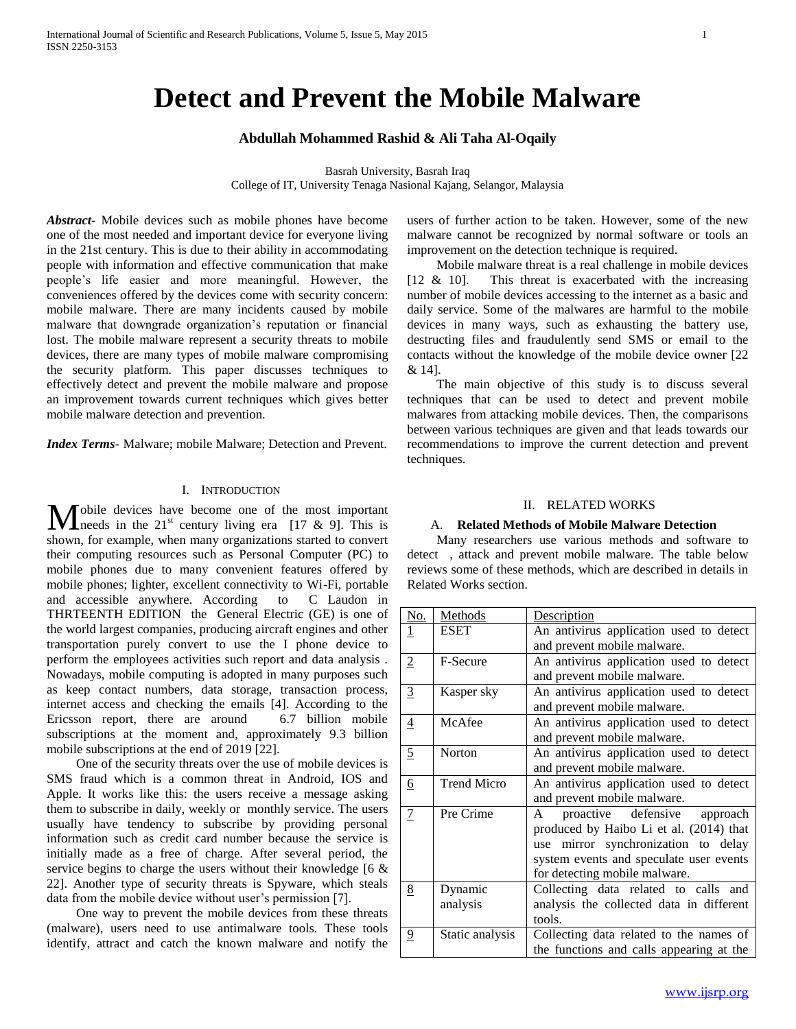# **Detect and Prevent the Mobile Malware**

# **Abdullah Mohammed Rashid & Ali Taha Al-Oqaily**

Basrah University, Basrah Iraq College of IT, University Tenaga Nasional Kajang, Selangor, Malaysia

*Abstract***-** Mobile devices such as mobile phones have become one of the most needed and important device for everyone living in the 21st century. This is due to their ability in accommodating people with information and effective communication that make people's life easier and more meaningful. However, the conveniences offered by the devices come with security concern: mobile malware. There are many incidents caused by mobile malware that downgrade organization's reputation or financial lost. The mobile malware represent a security threats to mobile devices, there are many types of mobile malware compromising the security platform. This paper discusses techniques to effectively detect and prevent the mobile malware and propose an improvement towards current techniques which gives better mobile malware detection and prevention.

*Index Terms*- Malware; mobile Malware; Detection and Prevent.

#### I. INTRODUCTION

obile devices have become one of the most important **M** obile devices have become one of the most important needs in the  $21^{st}$  century living era [17 & 9]. This is shown, for example, when many organizations started to convert their computing resources such as Personal Computer (PC) to mobile phones due to many convenient features offered by mobile phones; lighter, excellent connectivity to Wi-Fi, portable and accessible anywhere. According to C Laudon in THRTEENTH EDITION the General Electric (GE) is one of the world largest companies, producing aircraft engines and other transportation purely convert to use the I phone device to perform the employees activities such report and data analysis . Nowadays, mobile computing is adopted in many purposes such as keep contact numbers, data storage, transaction process, internet access and checking the emails [4]. According to the Ericsson report, there are around 6.7 billion mobile subscriptions at the moment and, approximately 9.3 billion mobile subscriptions at the end of 2019 [22].

 One of the security threats over the use of mobile devices is SMS fraud which is a common threat in Android, IOS and Apple. It works like this: the users receive a message asking them to subscribe in daily, weekly or monthly service. The users usually have tendency to subscribe by providing personal information such as credit card number because the service is initially made as a free of charge. After several period, the service begins to charge the users without their knowledge [6 & 22]. Another type of security threats is Spyware, which steals data from the mobile device without user's permission [7].

 One way to prevent the mobile devices from these threats (malware), users need to use antimalware tools. These tools identify, attract and catch the known malware and notify the users of further action to be taken. However, some of the new malware cannot be recognized by normal software or tools an improvement on the detection technique is required.

 Mobile malware threat is a real challenge in mobile devices [12 & 10]. This threat is exacerbated with the increasing number of mobile devices accessing to the internet as a basic and daily service. Some of the malwares are harmful to the mobile devices in many ways, such as exhausting the battery use, destructing files and fraudulently send SMS or email to the contacts without the knowledge of the mobile device owner [22 & 14].

 The main objective of this study is to discuss several techniques that can be used to detect and prevent mobile malwares from attacking mobile devices. Then, the comparisons between various techniques are given and that leads towards our recommendations to improve the current detection and prevent techniques.

## II. RELATED WORKS

#### A. **Related Methods of Mobile Malware Detection**

 Many researchers use various methods and software to detect , attack and prevent mobile malware. The table below reviews some of these methods, which are described in details in Related Works section.

| <u>No.</u>     | <b>Methods</b>     | Description                              |
|----------------|--------------------|------------------------------------------|
| 1              | <b>ESET</b>        | An antivirus application used to detect  |
|                |                    | and prevent mobile malware.              |
| $\overline{2}$ | F-Secure           | An antivirus application used to detect  |
|                |                    | and prevent mobile malware.              |
| $\overline{3}$ | Kasper sky         | An antivirus application used to detect  |
|                |                    | and prevent mobile malware.              |
| $\overline{4}$ | McAfee             | An antivirus application used to detect  |
|                |                    | and prevent mobile malware.              |
| 5              | Norton             | An antivirus application used to detect  |
|                |                    | and prevent mobile malware.              |
| <u>6</u>       | <b>Trend Micro</b> | An antivirus application used to detect  |
|                |                    | and prevent mobile malware.              |
| $\overline{1}$ | Pre Crime          | proactive defensive approach<br>A        |
|                |                    | produced by Haibo Li et al. (2014) that  |
|                |                    | use mirror synchronization to delay      |
|                |                    | system events and speculate user events  |
|                |                    | for detecting mobile malware.            |
| <u>8</u>       | Dynamic            | Collecting data related to calls and     |
|                | analysis           | analysis the collected data in different |
|                |                    | tools.                                   |
| $\overline{9}$ | Static analysis    | Collecting data related to the names of  |
|                |                    | the functions and calls appearing at the |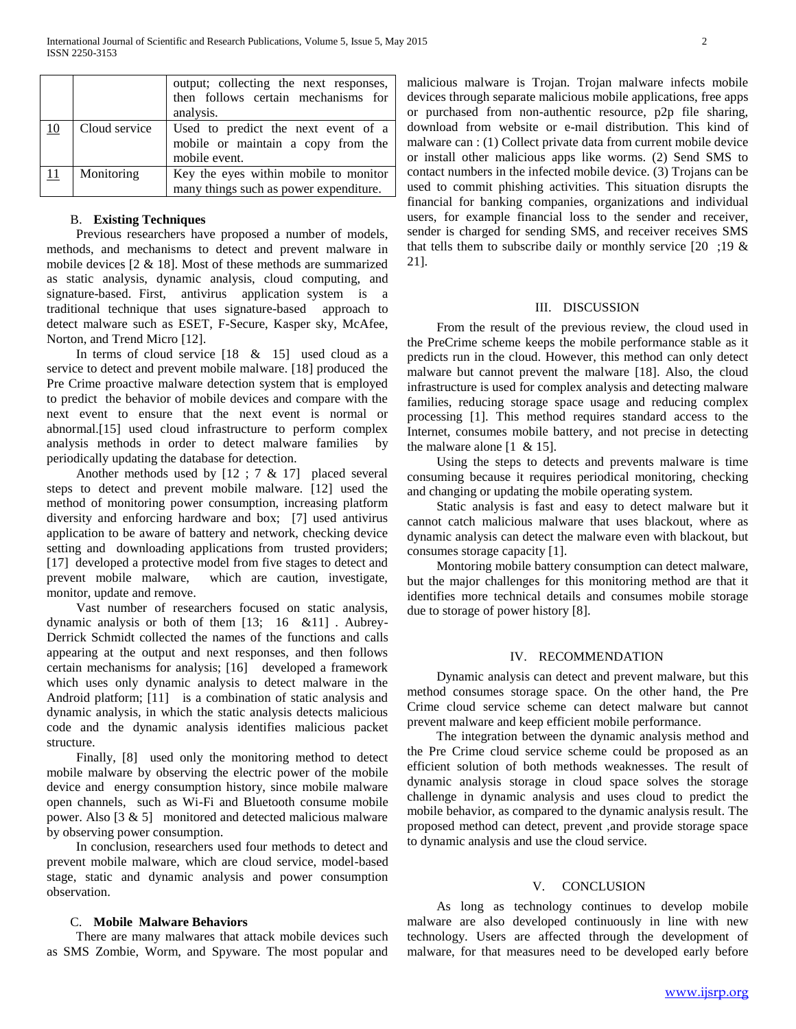|    |               | output; collecting the next responses,<br>then follows certain mechanisms for<br>analysis. |
|----|---------------|--------------------------------------------------------------------------------------------|
| 10 | Cloud service | Used to predict the next event of a<br>mobile or maintain a copy from the<br>mobile event. |
| 11 | Monitoring    | Key the eyes within mobile to monitor<br>many things such as power expenditure.            |

## B. **Existing Techniques**

 Previous researchers have proposed a number of models, methods, and mechanisms to detect and prevent malware in mobile devices [2 & 18]. Most of these methods are summarized as static analysis, dynamic analysis, cloud computing, and signature-based. First, antivirus application system is a traditional technique that uses signature-based approach to detect malware such as ESET, F-Secure, Kasper sky, McAfee, Norton, and Trend Micro [12].

In terms of cloud service  $[18 \& 15]$  used cloud as a service to detect and prevent mobile malware. [18] produced the Pre Crime proactive malware detection system that is employed to predict the behavior of mobile devices and compare with the next event to ensure that the next event is normal or abnormal.[15] used cloud infrastructure to perform complex analysis methods in order to detect malware families by periodically updating the database for detection.

 Another methods used by [12 ; 7 & 17] placed several steps to detect and prevent mobile malware. [12] used the method of monitoring power consumption, increasing platform diversity and enforcing hardware and box; [7] used antivirus application to be aware of battery and network, checking device setting and downloading applications from trusted providers; [17] developed a protective model from five stages to detect and prevent mobile malware, which are caution, investigate, monitor, update and remove.

 Vast number of researchers focused on static analysis, dynamic analysis or both of them [13; 16 &11] . Aubrey-Derrick Schmidt collected the names of the functions and calls appearing at the output and next responses, and then follows certain mechanisms for analysis; [16] developed a framework which uses only dynamic analysis to detect malware in the Android platform; [11] is a combination of static analysis and dynamic analysis, in which the static analysis detects malicious code and the dynamic analysis identifies malicious packet structure.

 Finally, [8] used only the monitoring method to detect mobile malware by observing the electric power of the mobile device and energy consumption history, since mobile malware open channels, such as Wi-Fi and Bluetooth consume mobile power. Also  $[3 \& 5]$  monitored and detected malicious malware by observing power consumption.

 In conclusion, researchers used four methods to detect and prevent mobile malware, which are cloud service, model-based stage, static and dynamic analysis and power consumption observation.

#### C. **Mobile Malware Behaviors**

 There are many malwares that attack mobile devices such as SMS Zombie, Worm, and Spyware. The most popular and

malicious malware is Trojan. Trojan malware infects mobile devices through separate malicious mobile applications, free apps or purchased from non-authentic resource, p2p file sharing, download from website or e-mail distribution. This kind of malware can : (1) Collect private data from current mobile device or install other malicious apps like worms. (2) Send SMS to contact numbers in the infected mobile device. (3) Trojans can be used to commit phishing activities. This situation disrupts the financial for banking companies, organizations and individual users, for example financial loss to the sender and receiver, sender is charged for sending SMS, and receiver receives SMS that tells them to subscribe daily or monthly service  $[20; 19 \&$ 21].

#### III. DISCUSSION

 From the result of the previous review, the cloud used in the PreCrime scheme keeps the mobile performance stable as it predicts run in the cloud. However, this method can only detect malware but cannot prevent the malware [18]. Also, the cloud infrastructure is used for complex analysis and detecting malware families, reducing storage space usage and reducing complex processing [1]. This method requires standard access to the Internet, consumes mobile battery, and not precise in detecting the malware alone  $[1 \& 15]$ .

 Using the steps to detects and prevents malware is time consuming because it requires periodical monitoring, checking and changing or updating the mobile operating system.

 Static analysis is fast and easy to detect malware but it cannot catch malicious malware that uses blackout, where as dynamic analysis can detect the malware even with blackout, but consumes storage capacity [1].

 Montoring mobile battery consumption can detect malware, but the major challenges for this monitoring method are that it identifies more technical details and consumes mobile storage due to storage of power history [8].

## IV. RECOMMENDATION

 Dynamic analysis can detect and prevent malware, but this method consumes storage space. On the other hand, the Pre Crime cloud service scheme can detect malware but cannot prevent malware and keep efficient mobile performance.

 The integration between the dynamic analysis method and the Pre Crime cloud service scheme could be proposed as an efficient solution of both methods weaknesses. The result of dynamic analysis storage in cloud space solves the storage challenge in dynamic analysis and uses cloud to predict the mobile behavior, as compared to the dynamic analysis result. The proposed method can detect, prevent ,and provide storage space to dynamic analysis and use the cloud service.

# V. CONCLUSION

 As long as technology continues to develop mobile malware are also developed continuously in line with new technology. Users are affected through the development of malware, for that measures need to be developed early before